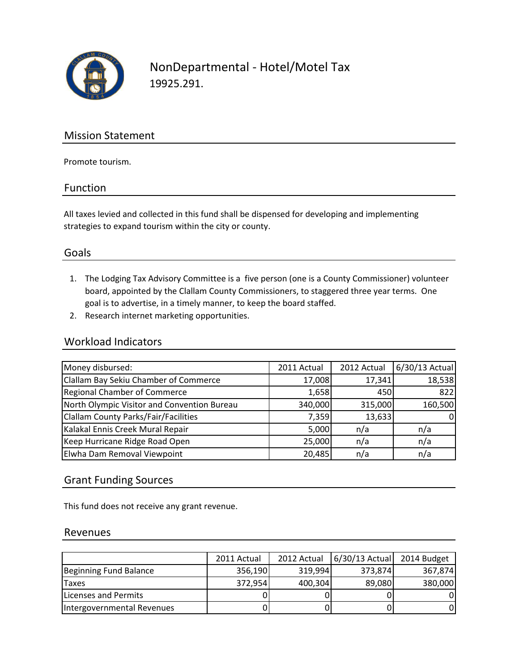

NonDepartmental - Hotel/Motel Tax 19925.291.

## Mission Statement

Promote tourism.

#### Function

All taxes levied and collected in this fund shall be dispensed for developing and implementing strategies to expand tourism within the city or county.

## Goals

- 1. The Lodging Tax Advisory Committee is a five person (one is a County Commissioner) volunteer board, appointed by the Clallam County Commissioners, to staggered three year terms. One goal is to advertise, in a timely manner, to keep the board staffed.
- 2. Research internet marketing opportunities.

#### Workload Indicators

| Money disbursed:                            | 2011 Actual | 2012 Actual | 6/30/13 Actual |
|---------------------------------------------|-------------|-------------|----------------|
| Clallam Bay Sekiu Chamber of Commerce       | 17,008      | 17,341      | 18,538         |
| <b>Regional Chamber of Commerce</b>         | 1,658       | 450         | 822            |
| North Olympic Visitor and Convention Bureau | 340,000     | 315,000     | 160,500        |
| <b>Clallam County Parks/Fair/Facilities</b> | 7,359       | 13,633      | 01             |
| Kalakal Ennis Creek Mural Repair            | 5,000       | n/a         | n/a            |
| Keep Hurricane Ridge Road Open              | 25,000      | n/a         | n/a            |
| Elwha Dam Removal Viewpoint                 | 20,485      | n/a         | n/a            |

## Grant Funding Sources

This fund does not receive any grant revenue.

#### Revenues

|                            | 2011 Actual | 2012 Actual | $6/30/13$ Actual | 2014 Budget |
|----------------------------|-------------|-------------|------------------|-------------|
| Beginning Fund Balance     | 356,190     | 319,994     | 373,874          | 367,874     |
| 'Taxes                     | 372,954     | 400,304     | 89,080           | 380,000     |
| Licenses and Permits       |             |             |                  |             |
| Intergovernmental Revenues |             |             |                  |             |